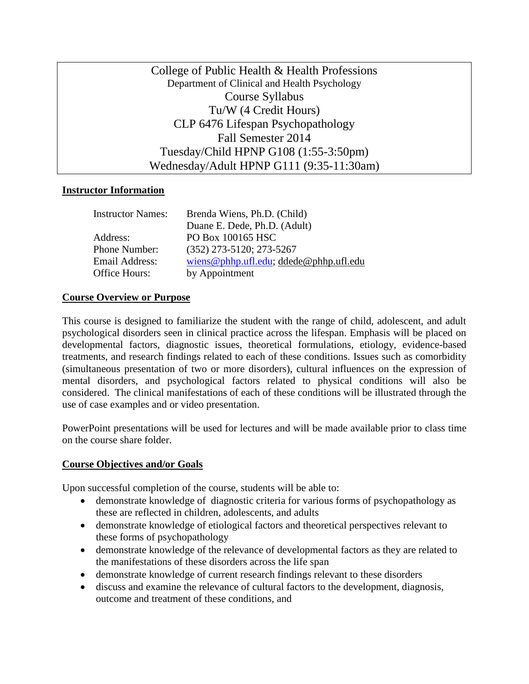College of Public Health & Health Professions Department of Clinical and Health Psychology Course Syllabus Tu/W (4 Credit Hours) CLP 6476 Lifespan Psychopathology Fall Semester 2014 Tuesday/Child HPNP G108 (1:55-3:50pm) Wednesday/Adult HPNP G111 (9:35-11:30am)

### **Instructor Information**

| <b>Instructor Names:</b> | Brenda Wiens, Ph.D. (Child)            |
|--------------------------|----------------------------------------|
|                          | Duane E. Dede, Ph.D. (Adult)           |
| Address:                 | PO Box 100165 HSC                      |
| Phone Number:            | $(352)$ 273-5120; 273-5267             |
| Email Address:           | wiens@phhp.ufl.edu; ddede@phhp.ufl.edu |
| Office Hours:            | by Appointment                         |

#### **Course Overview or Purpose**

This course is designed to familiarize the student with the range of child, adolescent, and adult psychological disorders seen in clinical practice across the lifespan. Emphasis will be placed on developmental factors, diagnostic issues, theoretical formulations, etiology, evidence-based treatments, and research findings related to each of these conditions. Issues such as comorbidity (simultaneous presentation of two or more disorders), cultural influences on the expression of mental disorders, and psychological factors related to physical conditions will also be considered. The clinical manifestations of each of these conditions will be illustrated through the use of case examples and or video presentation.

PowerPoint presentations will be used for lectures and will be made available prior to class time on the course share folder.

#### **Course Objectives and/or Goals**

Upon successful completion of the course, students will be able to:

- demonstrate knowledge of diagnostic criteria for various forms of psychopathology as these are reflected in children, adolescents, and adults
- demonstrate knowledge of etiological factors and theoretical perspectives relevant to these forms of psychopathology
- demonstrate knowledge of the relevance of developmental factors as they are related to the manifestations of these disorders across the life span
- demonstrate knowledge of current research findings relevant to these disorders
- discuss and examine the relevance of cultural factors to the development, diagnosis, outcome and treatment of these conditions, and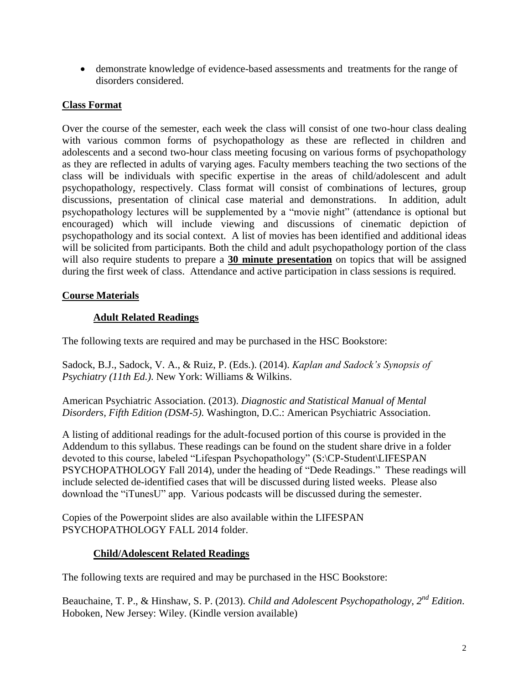demonstrate knowledge of evidence-based assessments and treatments for the range of disorders considered.

## **Class Format**

Over the course of the semester, each week the class will consist of one two-hour class dealing with various common forms of psychopathology as these are reflected in children and adolescents and a second two-hour class meeting focusing on various forms of psychopathology as they are reflected in adults of varying ages. Faculty members teaching the two sections of the class will be individuals with specific expertise in the areas of child/adolescent and adult psychopathology, respectively. Class format will consist of combinations of lectures, group discussions, presentation of clinical case material and demonstrations. In addition, adult psychopathology lectures will be supplemented by a "movie night" (attendance is optional but encouraged) which will include viewing and discussions of cinematic depiction of psychopathology and its social context. A list of movies has been identified and additional ideas will be solicited from participants. Both the child and adult psychopathology portion of the class will also require students to prepare a **30 minute presentation** on topics that will be assigned during the first week of class. Attendance and active participation in class sessions is required.

## **Course Materials**

## **Adult Related Readings**

The following texts are required and may be purchased in the HSC Bookstore:

Sadock, B.J., Sadock, V. A., & Ruiz, P. (Eds.). (2014). *Kaplan and Sadock's Synopsis of Psychiatry (11th Ed.)*. New York: Williams & Wilkins.

American Psychiatric Association. (2013). *Diagnostic and Statistical Manual of Mental Disorders, Fifth Edition (DSM-5)*. Washington, D.C.: American Psychiatric Association.

A listing of additional readings for the adult-focused portion of this course is provided in the Addendum to this syllabus. These readings can be found on the student share drive in a folder devoted to this course, labeled "Lifespan Psychopathology" (S:\CP-Student\LIFESPAN PSYCHOPATHOLOGY Fall 2014), under the heading of "Dede Readings." These readings will include selected de-identified cases that will be discussed during listed weeks. Please also download the "iTunesU" app. Various podcasts will be discussed during the semester.

Copies of the Powerpoint slides are also available within the LIFESPAN PSYCHOPATHOLOGY FALL 2014 folder.

## **Child/Adolescent Related Readings**

The following texts are required and may be purchased in the HSC Bookstore:

Beauchaine, T. P., & Hinshaw, S. P. (2013). *Child and Adolescent Psychopathology, 2nd Edition*. Hoboken, New Jersey: Wiley. (Kindle version available)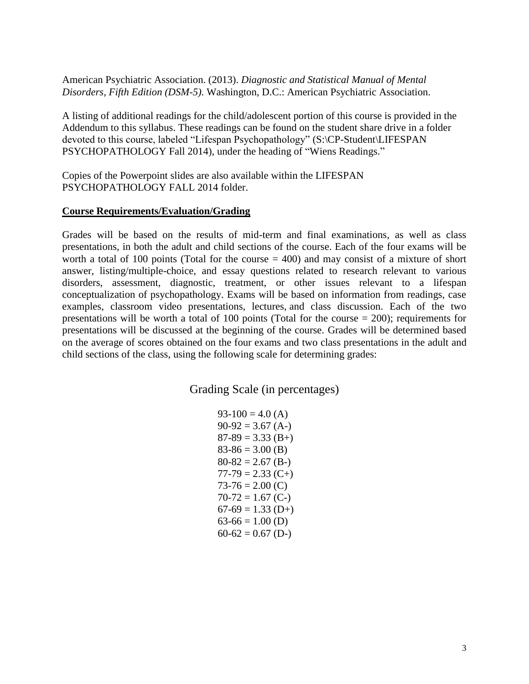American Psychiatric Association. (2013). *Diagnostic and Statistical Manual of Mental Disorders, Fifth Edition (DSM-5)*. Washington, D.C.: American Psychiatric Association.

A listing of additional readings for the child/adolescent portion of this course is provided in the Addendum to this syllabus. These readings can be found on the student share drive in a folder devoted to this course, labeled "Lifespan Psychopathology" (S:\CP-Student\LIFESPAN PSYCHOPATHOLOGY Fall 2014), under the heading of "Wiens Readings."

Copies of the Powerpoint slides are also available within the LIFESPAN PSYCHOPATHOLOGY FALL 2014 folder.

### **Course Requirements/Evaluation/Grading**

Grades will be based on the results of mid-term and final examinations, as well as class presentations, in both the adult and child sections of the course. Each of the four exams will be worth a total of 100 points (Total for the course  $=$  400) and may consist of a mixture of short answer, listing/multiple-choice, and essay questions related to research relevant to various disorders, assessment, diagnostic, treatment, or other issues relevant to a lifespan conceptualization of psychopathology. Exams will be based on information from readings, case examples, classroom video presentations, lectures, and class discussion. Each of the two presentations will be worth a total of 100 points (Total for the course = 200); requirements for presentations will be discussed at the beginning of the course. Grades will be determined based on the average of scores obtained on the four exams and two class presentations in the adult and child sections of the class, using the following scale for determining grades:

Grading Scale (in percentages)

| $93-100 = 4.0(A)$   |
|---------------------|
| $90-92 = 3.67$ (A-) |
| $87-89 = 3.33$ (B+) |
| $83-86 = 3.00$ (B)  |
| $80-82 = 2.67$ (B-) |
| $77-79 = 2.33(C+)$  |
| $73-76 = 2.00$ (C)  |
| $70-72 = 1.67$ (C-) |
| $67-69 = 1.33$ (D+) |
| $63-66 = 1.00$ (D)  |
| $60-62 = 0.67$ (D-) |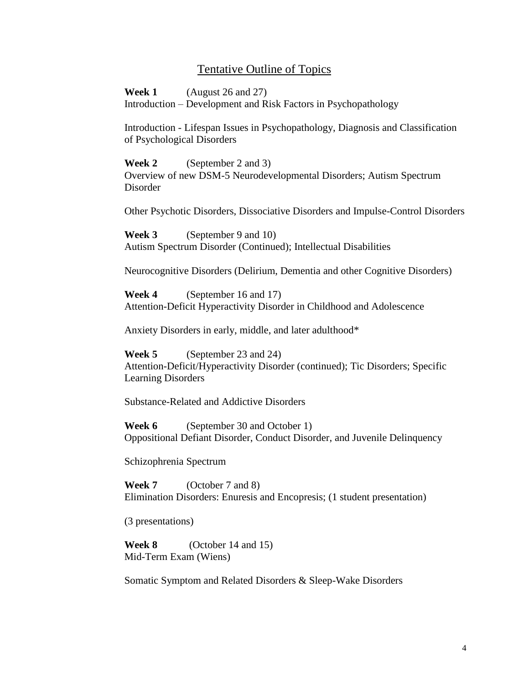## Tentative Outline of Topics

**Week 1** (August 26 and 27) Introduction – Development and Risk Factors in Psychopathology

Introduction - Lifespan Issues in Psychopathology, Diagnosis and Classification of Psychological Disorders

**Week 2** (September 2 and 3) Overview of new DSM-5 Neurodevelopmental Disorders; Autism Spectrum Disorder

Other Psychotic Disorders, Dissociative Disorders and Impulse-Control Disorders

**Week 3** (September 9 and 10) Autism Spectrum Disorder (Continued); Intellectual Disabilities

Neurocognitive Disorders (Delirium, Dementia and other Cognitive Disorders)

**Week 4** (September 16 and 17) Attention-Deficit Hyperactivity Disorder in Childhood and Adolescence

Anxiety Disorders in early, middle, and later adulthood\*

**Week 5** (September 23 and 24) Attention-Deficit/Hyperactivity Disorder (continued); Tic Disorders; Specific Learning Disorders

Substance-Related and Addictive Disorders

**Week 6** (September 30 and October 1) Oppositional Defiant Disorder, Conduct Disorder, and Juvenile Delinquency

Schizophrenia Spectrum

**Week 7** (October 7 and 8) Elimination Disorders: Enuresis and Encopresis; (1 student presentation)

(3 presentations)

**Week 8** (October 14 and 15) Mid-Term Exam (Wiens)

Somatic Symptom and Related Disorders & Sleep-Wake Disorders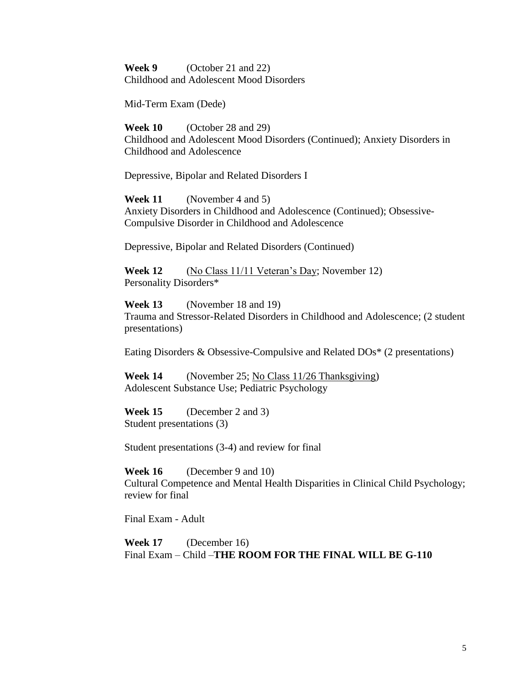**Week 9** (October 21 and 22) Childhood and Adolescent Mood Disorders

Mid-Term Exam (Dede)

**Week 10** (October 28 and 29) Childhood and Adolescent Mood Disorders (Continued); Anxiety Disorders in Childhood and Adolescence

Depressive, Bipolar and Related Disorders I

**Week 11** (November 4 and 5) Anxiety Disorders in Childhood and Adolescence (Continued); Obsessive-Compulsive Disorder in Childhood and Adolescence

Depressive, Bipolar and Related Disorders (Continued)

**Week 12** (No Class 11/11 Veteran's Day; November 12) Personality Disorders\*

**Week 13** (November 18 and 19) Trauma and Stressor-Related Disorders in Childhood and Adolescence; (2 student presentations)

Eating Disorders & Obsessive-Compulsive and Related DOs\* (2 presentations)

**Week 14** (November 25; No Class 11/26 Thanksgiving) Adolescent Substance Use; Pediatric Psychology

**Week 15** (December 2 and 3) Student presentations (3)

Student presentations (3-4) and review for final

**Week 16** (December 9 and 10) Cultural Competence and Mental Health Disparities in Clinical Child Psychology; review for final

Final Exam - Adult

**Week 17** (December 16) Final Exam – Child –**THE ROOM FOR THE FINAL WILL BE G-110**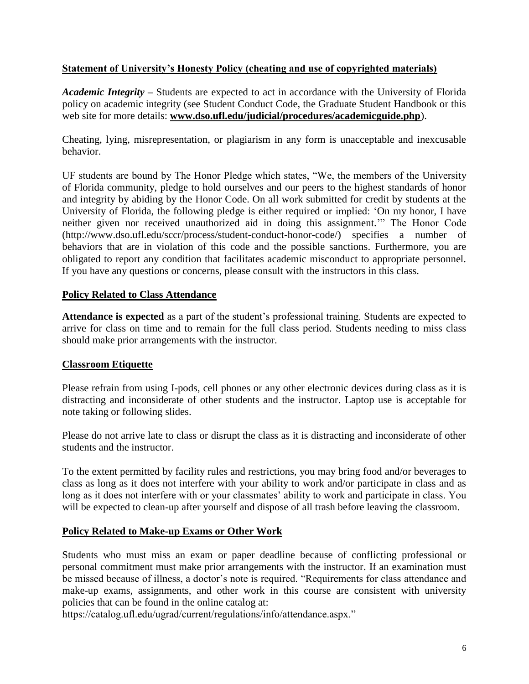## **Statement of University's Honesty Policy (cheating and use of copyrighted materials)**

*Academic Integrity –* Students are expected to act in accordance with the University of Florida policy on academic integrity (see Student Conduct Code, the Graduate Student Handbook or this web site for more details: **[www.dso.ufl.edu/judicial/procedures/academicguide.php](http://www.dso.ufl.edu/judicial/procedures/academicguide.php)**).

Cheating, lying, misrepresentation, or plagiarism in any form is unacceptable and inexcusable behavior.

UF students are bound by The Honor Pledge which states, "We, the members of the University of Florida community, pledge to hold ourselves and our peers to the highest standards of honor and integrity by abiding by the Honor Code. On all work submitted for credit by students at the University of Florida, the following pledge is either required or implied: 'On my honor, I have neither given nor received unauthorized aid in doing this assignment.'" The Honor Code (http://www.dso.ufl.edu/sccr/process/student-conduct-honor-code/) specifies a number of behaviors that are in violation of this code and the possible sanctions. Furthermore, you are obligated to report any condition that facilitates academic misconduct to appropriate personnel. If you have any questions or concerns, please consult with the instructors in this class.

## **Policy Related to Class Attendance**

**Attendance is expected** as a part of the student's professional training. Students are expected to arrive for class on time and to remain for the full class period. Students needing to miss class should make prior arrangements with the instructor.

## **Classroom Etiquette**

Please refrain from using I-pods, cell phones or any other electronic devices during class as it is distracting and inconsiderate of other students and the instructor. Laptop use is acceptable for note taking or following slides.

Please do not arrive late to class or disrupt the class as it is distracting and inconsiderate of other students and the instructor.

To the extent permitted by facility rules and restrictions, you may bring food and/or beverages to class as long as it does not interfere with your ability to work and/or participate in class and as long as it does not interfere with or your classmates' ability to work and participate in class. You will be expected to clean-up after yourself and dispose of all trash before leaving the classroom.

## **Policy Related to Make-up Exams or Other Work**

Students who must miss an exam or paper deadline because of conflicting professional or personal commitment must make prior arrangements with the instructor. If an examination must be missed because of illness, a doctor's note is required. "Requirements for class attendance and make-up exams, assignments, and other work in this course are consistent with university policies that can be found in the online catalog at:

https://catalog.ufl.edu/ugrad/current/regulations/info/attendance.aspx."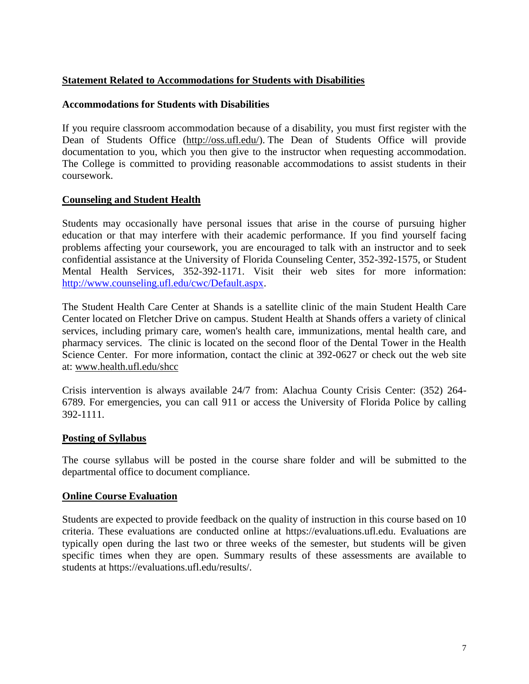## **Statement Related to Accommodations for Students with Disabilities**

### **Accommodations for Students with Disabilities**

If you require classroom accommodation because of a disability, you must first register with the Dean of Students Office [\(http://oss.ufl.edu/\)](http://oss.ufl.edu/). The Dean of Students Office will provide documentation to you, which you then give to the instructor when requesting accommodation. The College is committed to providing reasonable accommodations to assist students in their coursework.

### **Counseling and Student Health**

Students may occasionally have personal issues that arise in the course of pursuing higher education or that may interfere with their academic performance. If you find yourself facing problems affecting your coursework, you are encouraged to talk with an instructor and to seek confidential assistance at the University of Florida Counseling Center, 352-392-1575, or Student Mental Health Services, 352-392-1171. Visit their web sites for more information: [http://www.counseling.ufl.edu/cwc/Default.aspx.](http://www.counseling.ufl.edu/cwc/Default.aspx)

The Student Health Care Center at Shands is a satellite clinic of the main Student Health Care Center located on Fletcher Drive on campus. Student Health at Shands offers a variety of clinical services, including primary care, women's health care, immunizations, mental health care, and pharmacy services. The clinic is located on the second floor of the Dental Tower in the Health Science Center. For more information, contact the clinic at 392-0627 or check out the web site at: [www.health.ufl.edu/shcc](http://www.health.ufl.edu/shcc)

Crisis intervention is always available 24/7 from: Alachua County Crisis Center: (352) 264- 6789. For emergencies, you can call 911 or access the University of Florida Police by calling 392-1111.

### **Posting of Syllabus**

The course syllabus will be posted in the course share folder and will be submitted to the departmental office to document compliance.

### **Online Course Evaluation**

Students are expected to provide feedback on the quality of instruction in this course based on 10 criteria. These evaluations are conducted online at https://evaluations.ufl.edu. Evaluations are typically open during the last two or three weeks of the semester, but students will be given specific times when they are open. Summary results of these assessments are available to students at https://evaluations.ufl.edu/results/.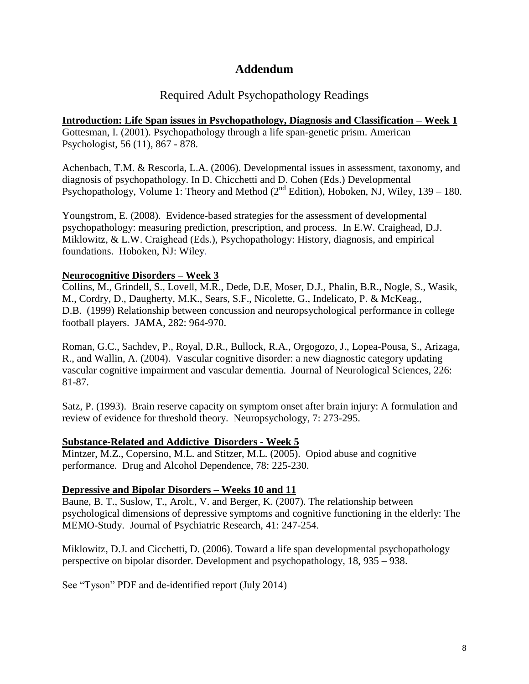# **Addendum**

# Required Adult Psychopathology Readings

**Introduction: Life Span issues in Psychopathology, Diagnosis and Classification – Week 1** Gottesman, I. (2001). Psychopathology through a life span-genetic prism. American Psychologist, 56 (11), 867 - 878.

Achenbach, T.M. & Rescorla, L.A. (2006). Developmental issues in assessment, taxonomy, and diagnosis of psychopathology. In D. Chicchetti and D. Cohen (Eds.) Developmental Psychopathology, Volume 1: Theory and Method ( $2<sup>nd</sup>$  Edition), Hoboken, NJ, Wiley, 139 – 180.

Youngstrom, E. (2008). Evidence-based strategies for the assessment of developmental psychopathology: measuring prediction, prescription, and process. In E.W. Craighead, D.J. Miklowitz, & L.W. Craighead (Eds.), Psychopathology: History, diagnosis, and empirical foundations. Hoboken, NJ: Wiley.

## **Neurocognitive Disorders – Week 3**

Collins, M., Grindell, S., Lovell, M.R., Dede, D.E, Moser, D.J., Phalin, B.R., Nogle, S., Wasik, M., Cordry, D., Daugherty, M.K., Sears, S.F., Nicolette, G., Indelicato, P. & McKeag., D.B. (1999) Relationship between concussion and neuropsychological performance in college football players. JAMA, 282: 964-970.

Roman, G.C., Sachdev, P., Royal, D.R., Bullock, R.A., Orgogozo, J., Lopea-Pousa, S., Arizaga, R., and Wallin, A. (2004). Vascular cognitive disorder: a new diagnostic category updating vascular cognitive impairment and vascular dementia. Journal of Neurological Sciences, 226: 81-87.

Satz, P. (1993). Brain reserve capacity on symptom onset after brain injury: A formulation and review of evidence for threshold theory. Neuropsychology, 7: 273-295.

## **Substance-Related and Addictive Disorders - Week 5**

Mintzer, M.Z., Copersino, M.L. and Stitzer, M.L. (2005). Opiod abuse and cognitive performance. Drug and Alcohol Dependence, 78: 225-230.

## **Depressive and Bipolar Disorders – Weeks 10 and 11**

Baune, B. T., Suslow, T., Arolt., V. and Berger, K. (2007). The relationship between psychological dimensions of depressive symptoms and cognitive functioning in the elderly: The MEMO-Study. Journal of Psychiatric Research, 41: 247-254.

Miklowitz, D.J. and Cicchetti, D. (2006). Toward a life span developmental psychopathology perspective on bipolar disorder. Development and psychopathology, 18, 935 – 938.

See "Tyson" PDF and de-identified report (July 2014)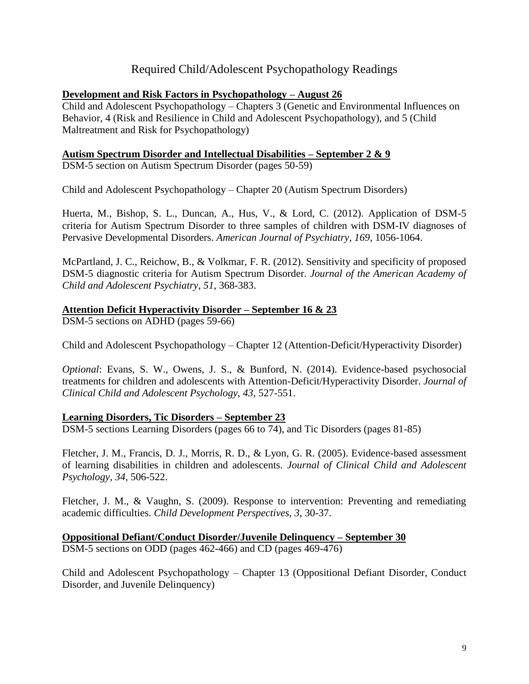# Required Child/Adolescent Psychopathology Readings

### **Development and Risk Factors in Psychopathology – August 26**

Child and Adolescent Psychopathology – Chapters 3 (Genetic and Environmental Influences on Behavior, 4 (Risk and Resilience in Child and Adolescent Psychopathology), and 5 (Child Maltreatment and Risk for Psychopathology)

### **Autism Spectrum Disorder and Intellectual Disabilities – September 2 & 9**

DSM-5 section on Autism Spectrum Disorder (pages 50-59)

Child and Adolescent Psychopathology – Chapter 20 (Autism Spectrum Disorders)

Huerta, M., Bishop, S. L., Duncan, A., Hus, V., & Lord, C. (2012). Application of DSM-5 criteria for Autism Spectrum Disorder to three samples of children with DSM-IV diagnoses of Pervasive Developmental Disorders. *American Journal of Psychiatry*, *169*, 1056-1064.

McPartland, J. C., Reichow, B., & Volkmar, F. R. (2012). Sensitivity and specificity of proposed DSM-5 diagnostic criteria for Autism Spectrum Disorder. *Journal of the American Academy of Child and Adolescent Psychiatry*, *51*, 368-383.

### **Attention Deficit Hyperactivity Disorder – September 16 & 23**

DSM-5 sections on ADHD (pages 59-66)

Child and Adolescent Psychopathology – Chapter 12 (Attention-Deficit/Hyperactivity Disorder)

*Optional*: Evans, S. W., Owens, J. S., & Bunford, N. (2014). Evidence-based psychosocial treatments for children and adolescents with Attention-Deficit/Hyperactivity Disorder. *Journal of Clinical Child and Adolescent Psychology*, *43*, 527-551.

### **Learning Disorders, Tic Disorders – September 23**

DSM-5 sections Learning Disorders (pages 66 to 74), and Tic Disorders (pages 81-85)

Fletcher, J. M., Francis, D. J., Morris, R. D., & Lyon, G. R. (2005). Evidence-based assessment of learning disabilities in children and adolescents. *Journal of Clinical Child and Adolescent Psychology, 34*, 506-522.

Fletcher, J. M., & Vaughn, S. (2009). Response to intervention: Preventing and remediating academic difficulties. *Child Development Perspectives*, *3*, 30-37.

**Oppositional Defiant/Conduct Disorder/Juvenile Delinquency – September 30** DSM-5 sections on ODD (pages 462-466) and CD (pages 469-476)

Child and Adolescent Psychopathology – Chapter 13 (Oppositional Defiant Disorder, Conduct Disorder, and Juvenile Delinquency)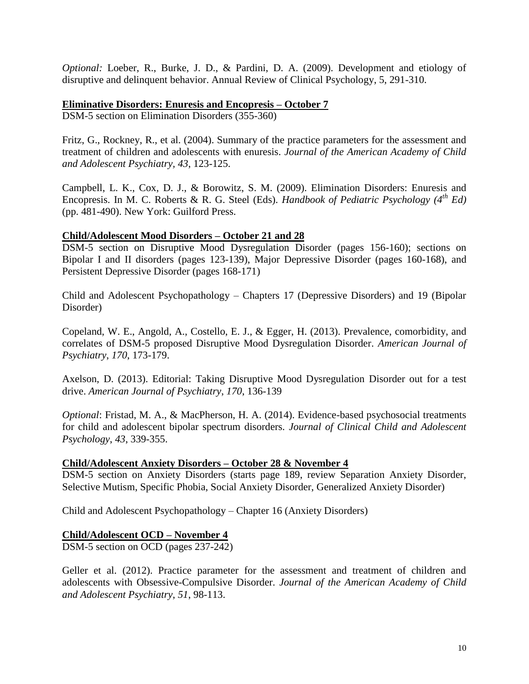*Optional:* Loeber, R., Burke, J. D., & Pardini, D. A. (2009). Development and etiology of disruptive and delinquent behavior. Annual Review of Clinical Psychology, 5, 291-310.

### **Eliminative Disorders: Enuresis and Encopresis – October 7**

DSM-5 section on Elimination Disorders (355-360)

Fritz, G., Rockney, R., et al. (2004). Summary of the practice parameters for the assessment and treatment of children and adolescents with enuresis. *Journal of the American Academy of Child and Adolescent Psychiatry, 43*, 123-125.

Campbell, L. K., Cox, D. J., & Borowitz, S. M. (2009). Elimination Disorders: Enuresis and Encopresis. In M. C. Roberts & R. G. Steel (Eds). *Handbook of Pediatric Psychology (4th Ed)* (pp. 481-490). New York: Guilford Press.

#### **Child/Adolescent Mood Disorders – October 21 and 28**

DSM-5 section on Disruptive Mood Dysregulation Disorder (pages 156-160); sections on Bipolar I and II disorders (pages 123-139), Major Depressive Disorder (pages 160-168), and Persistent Depressive Disorder (pages 168-171)

Child and Adolescent Psychopathology – Chapters 17 (Depressive Disorders) and 19 (Bipolar Disorder)

Copeland, W. E., Angold, A., Costello, E. J., & Egger, H. (2013). Prevalence, comorbidity, and correlates of DSM-5 proposed Disruptive Mood Dysregulation Disorder. *American Journal of Psychiatry*, *170*, 173-179.

Axelson, D. (2013). Editorial: Taking Disruptive Mood Dysregulation Disorder out for a test drive. *American Journal of Psychiatry*, *170*, 136-139

*Optional*: Fristad, M. A., & MacPherson, H. A. (2014). Evidence-based psychosocial treatments for child and adolescent bipolar spectrum disorders. *Journal of Clinical Child and Adolescent Psychology*, *43*, 339-355.

### **Child/Adolescent Anxiety Disorders – October 28 & November 4**

DSM-5 section on Anxiety Disorders (starts page 189, review Separation Anxiety Disorder, Selective Mutism, Specific Phobia, Social Anxiety Disorder, Generalized Anxiety Disorder)

Child and Adolescent Psychopathology – Chapter 16 (Anxiety Disorders)

### **Child/Adolescent OCD – November 4**

DSM-5 section on OCD (pages 237-242)

Geller et al. (2012). Practice parameter for the assessment and treatment of children and adolescents with Obsessive-Compulsive Disorder. *Journal of the American Academy of Child and Adolescent Psychiatry*, *51*, 98-113.